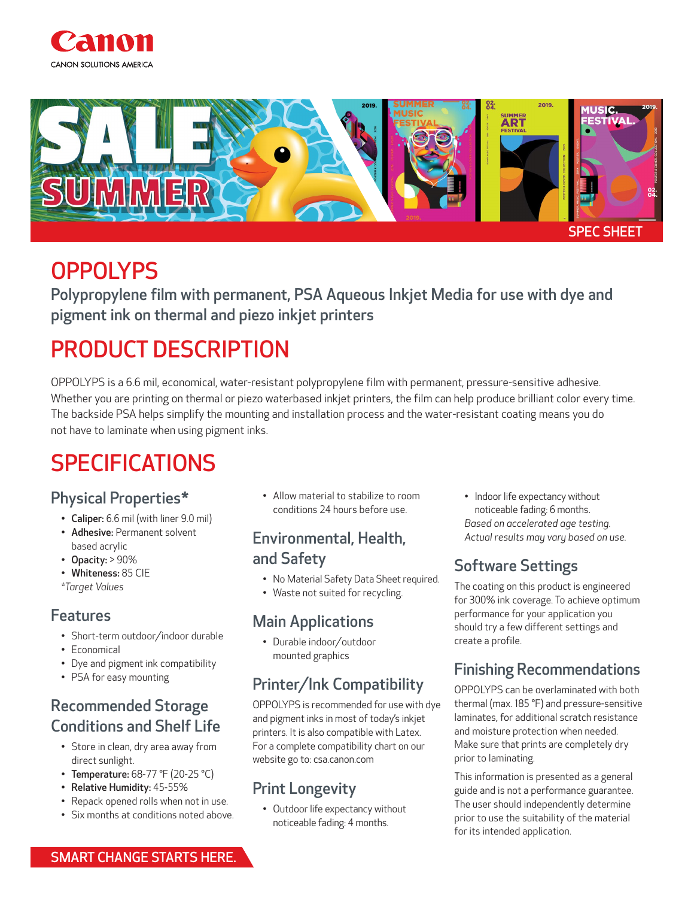



## **OPPOLYPS**

Polypropylene film with permanent, PSA Aqueous Inkjet Media for use with dye and pigment ink on thermal and piezo inkjet printers

# PRODUCT DESCRIPTION

OPPOLYPS is a 6.6 mil, economical, water-resistant polypropylene film with permanent, pressure-sensitive adhesive. Whether you are printing on thermal or piezo waterbased inkjet printers, the film can help produce brilliant color every time. The backside PSA helps simplify the mounting and installation process and the water-resistant coating means you do not have to laminate when using pigment inks.

# **SPECIFICATIONS**

#### Physical Properties\*

- Caliper: 6.6 mil (with liner 9.0 mil)
- Adhesive: Permanent solvent based acrylic
- Opacity: > 90%
- Whiteness: 85 CIE *\*Target Values*

#### Features

- Short-term outdoor/indoor durable
- Economical
- Dye and pigment ink compatibility
- PSA for easy mounting

### Recommended Storage Conditions and Shelf Life

- Store in clean, dry area away from direct sunlight.
- Temperature: 68-77 °F (20-25 °C)
- Relative Humidity: 45-55%
- Repack opened rolls when not in use.
- Six months at conditions noted above.

• Allow material to stabilize to room conditions 24 hours before use.

#### Environmental, Health, and Safety

- No Material Safety Data Sheet required.
- Waste not suited for recycling.

#### Main Applications

• Durable indoor/outdoor mounted graphics

## Printer/Ink Compatibility

OPPOLYPS is recommended for use with dye and pigment inks in most of today's inkjet printers. It is also compatible with Latex. For a complete compatibility chart on our website go to: csa.canon.com

### Print Longevity

• Outdoor life expectancy without noticeable fading: 4 months.

• Indoor life expectancy without noticeable fading: 6 months. *Based on accelerated age testing. Actual results may vary based on use.* 

## Software Settings

The coating on this product is engineered for 300% ink coverage. To achieve optimum performance for your application you should try a few different settings and create a profile.

## Finishing Recommendations

OPPOLYPS can be overlaminated with both thermal (max. 185 °F) and pressure-sensitive laminates, for additional scratch resistance and moisture protection when needed. Make sure that prints are completely dry prior to laminating.

This information is presented as a general guide and is not a performance guarantee. The user should independently determine prior to use the suitability of the material for its intended application.